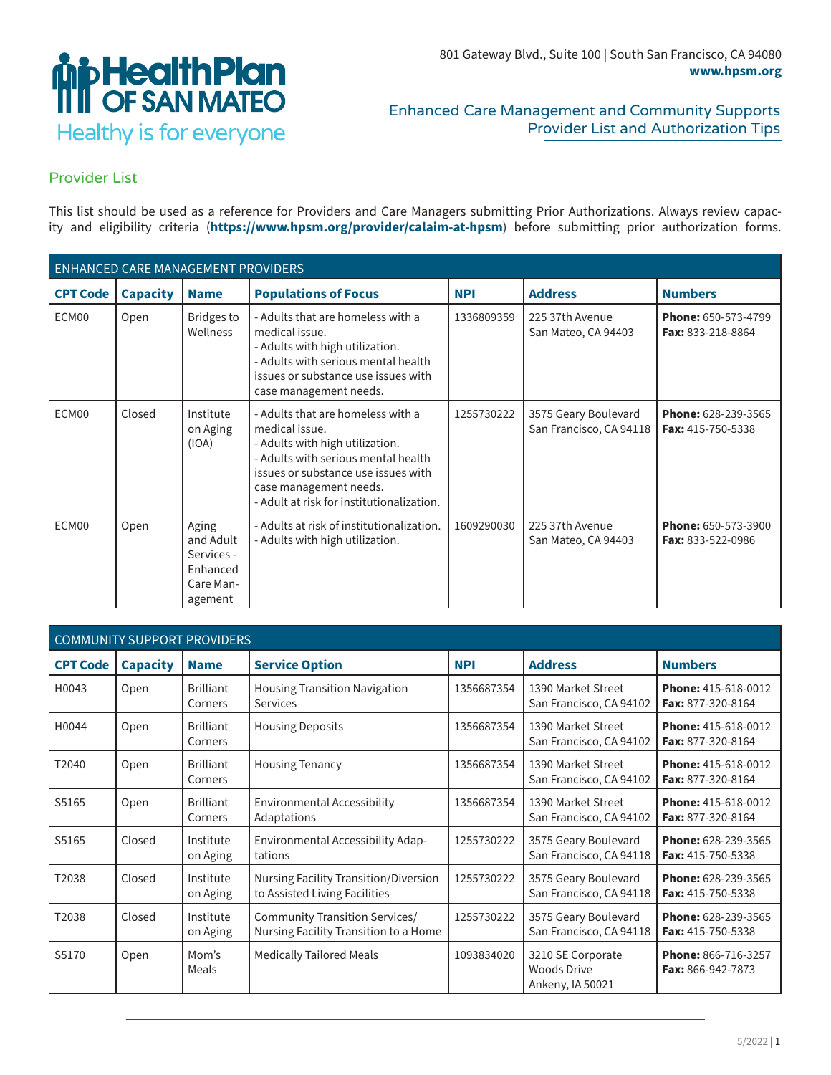

## Enhanced Care Management and Community Supports Provider List and Authorization Tips

## Provider List

This list should be used as a reference for Providers and Care Managers submitting Prior Authorizations. Always review capacity and eligibility criteria (**https://www.hpsm.org/provider/calaim-at-hpsm**) before submitting prior authorization forms.

| <b>ENHANCED CARE MANAGEMENT PROVIDERS</b> |                 |                                                                      |                                                                                                                                                                                                                                             |            |                                                 |                                          |  |  |
|-------------------------------------------|-----------------|----------------------------------------------------------------------|---------------------------------------------------------------------------------------------------------------------------------------------------------------------------------------------------------------------------------------------|------------|-------------------------------------------------|------------------------------------------|--|--|
| <b>CPT Code</b>                           | <b>Capacity</b> | <b>Name</b>                                                          | <b>Populations of Focus</b>                                                                                                                                                                                                                 | <b>NPI</b> | <b>Address</b>                                  | <b>Numbers</b>                           |  |  |
| ECM00                                     | Open            | <b>Bridges to</b><br>Wellness                                        | - Adults that are homeless with a<br>medical issue.<br>- Adults with high utilization.<br>- Adults with serious mental health<br>issues or substance use issues with<br>case management needs.                                              | 1336809359 | 225 37th Avenue<br>San Mateo, CA 94403          | Phone: 650-573-4799<br>Fax: 833-218-8864 |  |  |
| ECM00                                     | Closed          | Institute<br>on Aging<br>(IOA)                                       | - Adults that are homeless with a<br>medical issue.<br>- Adults with high utilization.<br>- Adults with serious mental health<br>issues or substance use issues with<br>case management needs.<br>- Adult at risk for institutionalization. | 1255730222 | 3575 Geary Boulevard<br>San Francisco, CA 94118 | Phone: 628-239-3565<br>Fax: 415-750-5338 |  |  |
| ECM00                                     | Open            | Aging<br>and Adult<br>Services -<br>Enhanced<br>Care Man-<br>agement | - Adults at risk of institutionalization.<br>- Adults with high utilization.                                                                                                                                                                | 1609290030 | 225 37th Avenue<br>San Mateo, CA 94403          | Phone: 650-573-3900<br>Fax: 833-522-0986 |  |  |

| <b>COMMUNITY SUPPORT PROVIDERS</b> |                 |                             |                                                                                                                 |            |                                                             |                                                 |  |
|------------------------------------|-----------------|-----------------------------|-----------------------------------------------------------------------------------------------------------------|------------|-------------------------------------------------------------|-------------------------------------------------|--|
| <b>CPT Code</b>                    | <b>Capacity</b> | <b>Name</b>                 | <b>Service Option</b>                                                                                           | <b>NPI</b> | <b>Address</b>                                              | <b>Numbers</b>                                  |  |
| H0043                              | Open            | <b>Brilliant</b><br>Corners | <b>Housing Transition Navigation</b><br>1356687354<br>1390 Market Street<br>San Francisco, CA 94102<br>Services |            | Phone: 415-618-0012<br>Fax: 877-320-8164                    |                                                 |  |
| H0044                              | Open            | <b>Brilliant</b><br>Corners | <b>Housing Deposits</b><br>1390 Market Street<br>1356687354<br>San Francisco, CA 94102                          |            | Phone: 415-618-0012<br>Fax: 877-320-8164                    |                                                 |  |
| T2040                              | Open            | <b>Brilliant</b><br>Corners | <b>Housing Tenancy</b>                                                                                          | 1356687354 | 1390 Market Street<br>San Francisco, CA 94102               | Phone: 415-618-0012<br>Fax: 877-320-8164        |  |
| S5165                              | Open            | <b>Brilliant</b><br>Corners | Environmental Accessibility<br>Adaptations                                                                      | 1356687354 | 1390 Market Street<br>San Francisco, CA 94102               | <b>Phone: 415-618-0012</b><br>Fax: 877-320-8164 |  |
| S5165                              | Closed          | Institute<br>on Aging       | Environmental Accessibility Adap-<br>tations                                                                    | 1255730222 | 3575 Geary Boulevard<br>San Francisco, CA 94118             | Phone: 628-239-3565<br>Fax: 415-750-5338        |  |
| T2038                              | Closed          | Institute<br>on Aging       | Nursing Facility Transition/Diversion<br>to Assisted Living Facilities                                          | 1255730222 | 3575 Geary Boulevard<br>San Francisco, CA 94118             | Phone: 628-239-3565<br>Fax: 415-750-5338        |  |
| T2038                              | Closed          | Institute<br>on Aging       | <b>Community Transition Services/</b><br>Nursing Facility Transition to a Home                                  | 1255730222 | 3575 Geary Boulevard<br>San Francisco, CA 94118             | Phone: 628-239-3565<br>Fax: 415-750-5338        |  |
| S5170                              | Open            | Mom's<br>Meals              | <b>Medically Tailored Meals</b>                                                                                 | 1093834020 | 3210 SE Corporate<br><b>Woods Drive</b><br>Ankeny, IA 50021 | Phone: 866-716-3257<br>Fax: 866-942-7873        |  |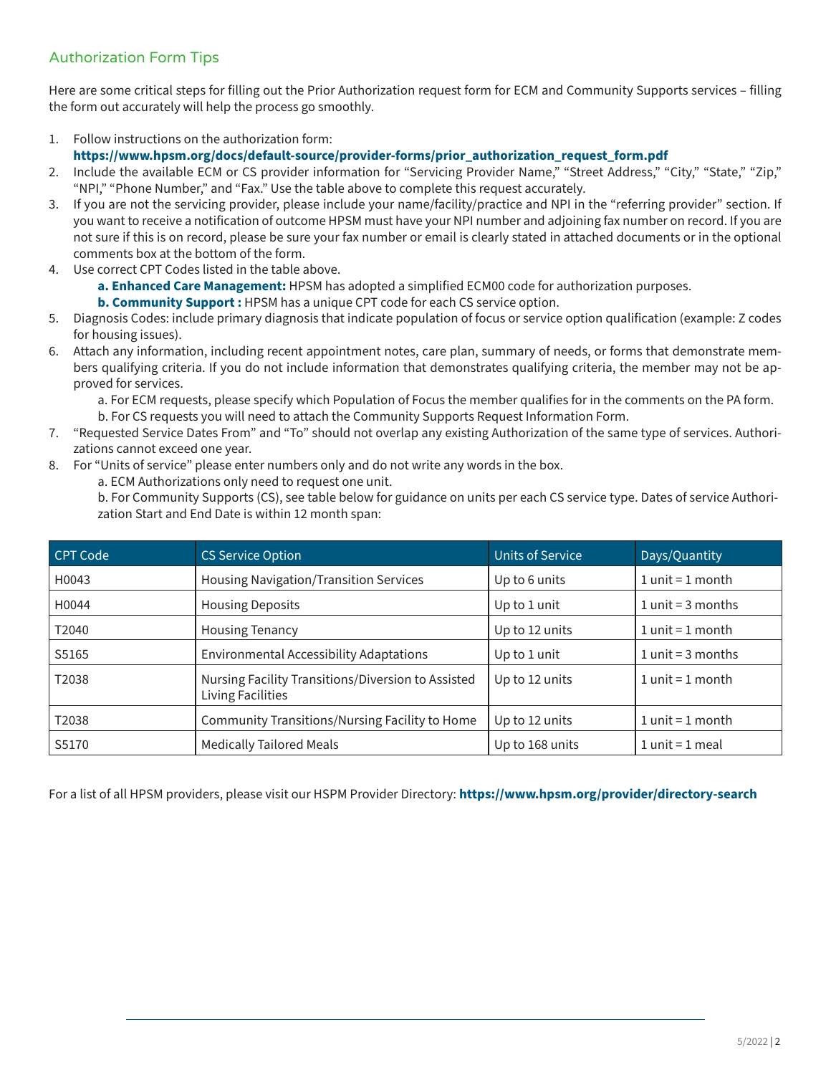## Authorization Form Tips

Here are some critical steps for filling out the Prior Authorization request form for ECM and Community Supports services – filling the form out accurately will help the process go smoothly.

- 1. Follow instructions on the authorization form:
- **https://www.hpsm.org/docs/default-source/provider-forms/prior\_authorization\_request\_form.pdf**
- 2. Include the available ECM or CS provider information for "Servicing Provider Name," "Street Address," "City," "State," "Zip," "NPI," "Phone Number," and "Fax." Use the table above to complete this request accurately.
- 3. If you are not the servicing provider, please include your name/facility/practice and NPI in the "referring provider" section. If you want to receive a notification of outcome HPSM must have your NPI number and adjoining fax number on record. If you are not sure if this is on record, please be sure your fax number or email is clearly stated in attached documents or in the optional comments box at the bottom of the form.
- 4. Use correct CPT Codes listed in the table above.
	- **a. Enhanced Care Management:** HPSM has adopted a simplified ECM00 code for authorization purposes.
	- **b. Community Support :** HPSM has a unique CPT code for each CS service option.
- 5. Diagnosis Codes: include primary diagnosis that indicate population of focus or service option qualification (example: Z codes for housing issues).
- 6. Attach any information, including recent appointment notes, care plan, summary of needs, or forms that demonstrate members qualifying criteria. If you do not include information that demonstrates qualifying criteria, the member may not be approved for services.

a. For ECM requests, please specify which Population of Focus the member qualifies for in the comments on the PA form.

- b. For CS requests you will need to attach the Community Supports Request Information Form.
- 7. "Requested Service Dates From" and "To" should not overlap any existing Authorization of the same type of services. Authorizations cannot exceed one year.
- 8. For "Units of service" please enter numbers only and do not write any words in the box.
	- a. ECM Authorizations only need to request one unit.

b. For Community Supports (CS), see table below for guidance on units per each CS service type. Dates of service Authorization Start and End Date is within 12 month span:

| <b>CPT Code</b> | <b>CS Service Option</b>                                                       | <b>Units of Service</b> | Days/Quantity        |
|-----------------|--------------------------------------------------------------------------------|-------------------------|----------------------|
| H0043           | <b>Housing Navigation/Transition Services</b>                                  | Up to 6 units           | $1$ unit = $1$ month |
| H0044           | <b>Housing Deposits</b>                                                        | Up to 1 unit            | $1$ unit = 3 months  |
| T2040           | <b>Housing Tenancy</b>                                                         | Up to 12 units          | $1$ unit = $1$ month |
| S5165           | <b>Environmental Accessibility Adaptations</b>                                 | Up to 1 unit            | $1$ unit = 3 months  |
| T2038           | Nursing Facility Transitions/Diversion to Assisted<br><b>Living Facilities</b> | Up to 12 units          | $1$ unit = $1$ month |
| T2038           | <b>Community Transitions/Nursing Facility to Home</b>                          | Up to 12 units          | $1$ unit = $1$ month |
| S5170           | <b>Medically Tailored Meals</b>                                                | Up to 168 units         | $1$ unit = $1$ meal  |

For a list of all HPSM providers, please visit our HSPM Provider Directory: **https://www.hpsm.org/provider/directory-search**